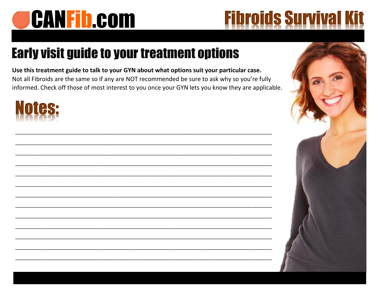# **CANFib.com**

## **Fibroids Survival I**

### **Early visit guide to your treatment options**

Use this treatment guide to talk to your GYN about what options suit your particular case. Not all Fibroids are the same so if any are NOT recommended be sure to ask why so you're fully informed. Check off those of most interest to you once your GYN lets you know they are applicable.

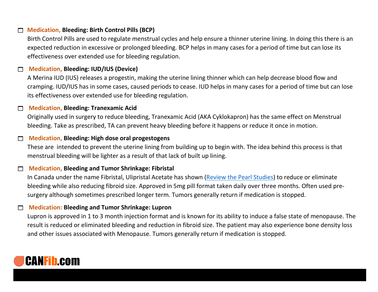#### **Medication, Bleeding: Birth Control Pills (BCP)**

Birth Control Pills are used to regulate menstrual cycles and help ensure a thinner uterine lining. In doing this there is an expected reduction in excessive or prolonged bleeding. BCP helps in many cases for a period of time but can lose its effectiveness over extended use for bleeding regulation.

#### **Medication, Bleeding: IUD/IUS (Device)**

A Merina IUD (IUS) releases a progestin, making the uterine lining thinner which can help decrease blood flow and cramping. IUD/IUS has in some cases, caused periods to cease. IUD helps in many cases for a period of time but can lose its effectiveness over extended use for bleeding regulation.

#### **Medication, Bleeding: Tranexamic Acid**

Originally used in surgery to reduce bleeding, Tranexamic Acid (AKA Cyklokapron) has the same effect on Menstrual bleeding. Take as prescribed, TA can prevent heavy bleeding before it happens or reduce it once in motion.

#### **Medication, Bleeding: High dose oral progestogens**

These are intended to prevent the uterine lining from building up to begin with. The idea behind this process is that menstrual bleeding will be lighter as a result of that lack of built up lining.

#### **Medication, Bleeding and Tumor Shrinkage: Fibristal**

In Canada under the name Fibristal, Ulipristal Acetate has shown [\(Review the](https://www.rbmojournal.com/article/S1472-6483(18)30190-1/fulltext) Pearl Studies) to reduce or eliminate bleeding while also reducing fibroid size. Approved in 5mg pill format taken daily over three months. Often used presurgery although sometimes prescribed longer term. Tumors generally return if medication is stopped.

#### **Medication: Bleeding and Tumor Shrinkage: Lupron**

Lupron is approved in 1 to 3 month injection format and is known for its ability to induce a false state of menopause. The result is reduced or eliminated bleeding and reduction in fibroid size. The patient may also experience bone density loss and other issues associated with Menopause. Tumors generally return if medication is stopped.